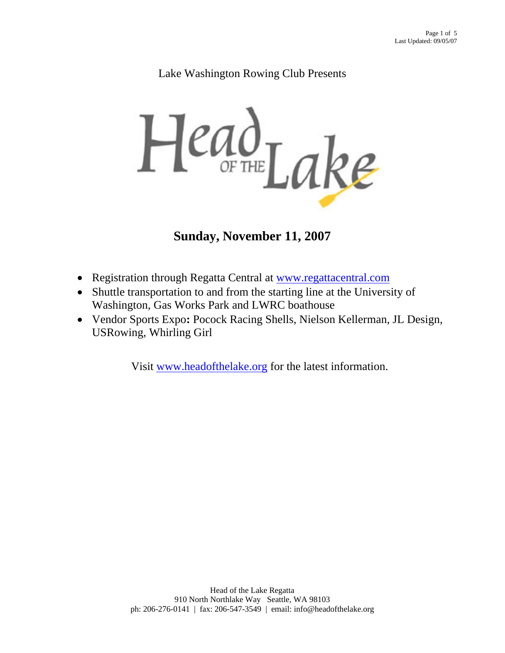### Lake Washington Rowing Club Presents



# **Sunday, November 11, 2007**

- Registration through Regatta Central at www.regattacentral.com
- Shuttle transportation to and from the starting line at the University of Washington, Gas Works Park and LWRC boathouse
- Vendor Sports Expo**:** Pocock Racing Shells, Nielson Kellerman, JL Design, USRowing, Whirling Girl

Visit www.headofthelake.org for the latest information.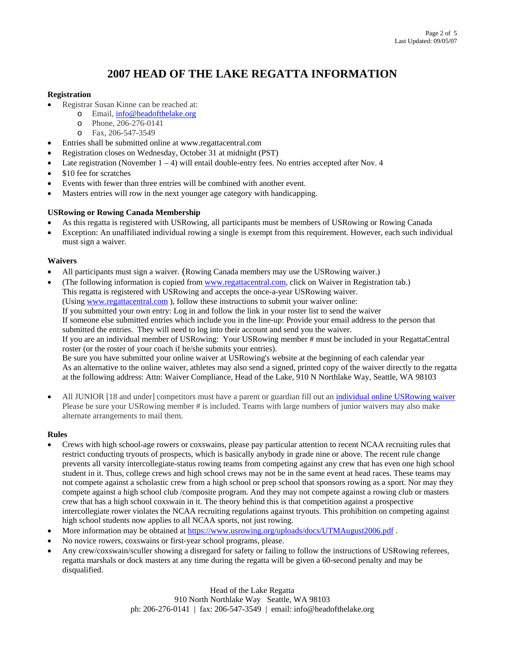## **2007 HEAD OF THE LAKE REGATTA INFORMATION**

#### **Registration**

- Registrar Susan Kinne can be reached at:
	- o Email, info@headofthelake.org
	- o Phone, 206-276-0141
	- o Fax, 206-547-3549
- Entries shall be submitted online at www.regattacentral.com
- Registration closes on Wednesday, October 31 at midnight (PST)
- Late registration (November  $1 4$ ) will entail double-entry fees. No entries accepted after Nov. 4
- \$10 fee for scratches
- Events with fewer than three entries will be combined with another event.
- Masters entries will row in the next younger age category with handicapping.

#### **USRowing or Rowing Canada Membership**

- As this regatta is registered with USRowing, all participants must be members of USRowing or Rowing Canada
- Exception: An unaffiliated individual rowing a single is exempt from this requirement. However, each such individual must sign a waiver.

#### **Waivers**

- All participants must sign a waiver. (Rowing Canada members may use the USRowing waiver.)
- (The following information is copied from www.regattacentral.com, click on Waiver in Registration tab.) This regatta is registered with USRowing and accepts the once-a-year USRowing waiver. (Using www.regattacentral.com ), follow these instructions to submit your waiver online: If you submitted your own entry: Log in and follow the link in your roster list to send the waiver If someone else submitted entries which include you in the line-up: Provide your email address to the person that submitted the entries. They will need to log into their account and send you the waiver. If you are an individual member of USRowing: Your USRowing member # must be included in your RegattaCentral roster (or the roster of your coach if he/she submits your entries). Be sure you have submitted your online waiver at USRowing's website at the beginning of each calendar year As an alternative to the online waiver, athletes may also send a signed, printed copy of the waiver directly to the regatta at the following address: Attn: Waiver Compliance, Head of the Lake, 910 N Northlake Way, Seattle, WA 98103
- All JUNIOR [18 and under] competitors must have a parent or guardian fill out an individual online USRowing waiver Please be sure your USRowing member # is included. Teams with large numbers of junior waivers may also make alternate arrangements to mail them.

#### **Rules**

- Crews with high school-age rowers or coxswains, please pay particular attention to recent NCAA recruiting rules that restrict conducting tryouts of prospects, which is basically anybody in grade nine or above. The recent rule change prevents all varsity intercollegiate-status rowing teams from competing against any crew that has even one high school student in it. Thus, college crews and high school crews may not be in the same event at head races. These teams may not compete against a scholastic crew from a high school or prep school that sponsors rowing as a sport. Nor may they compete against a high school club /composite program. And they may not compete against a rowing club or masters crew that has a high school coxswain in it. The theory behind this is that competition against a prospective intercollegiate rower violates the NCAA recruiting regulations against tryouts. This prohibition on competing against high school students now applies to all NCAA sports, not just rowing.
- More information may be obtained at https://www.usrowing.org/uploads/docs/UTMAugust2006.pdf.
- No novice rowers, coxswains or first-year school programs, please.
- Any crew/coxswain/sculler showing a disregard for safety or failing to follow the instructions of USRowing referees, regatta marshals or dock masters at any time during the regatta will be given a 60-second penalty and may be disqualified.

Head of the Lake Regatta 910 North Northlake Way Seattle, WA 98103 ph: 206-276-0141 | fax: 206-547-3549 | email: info@headofthelake.org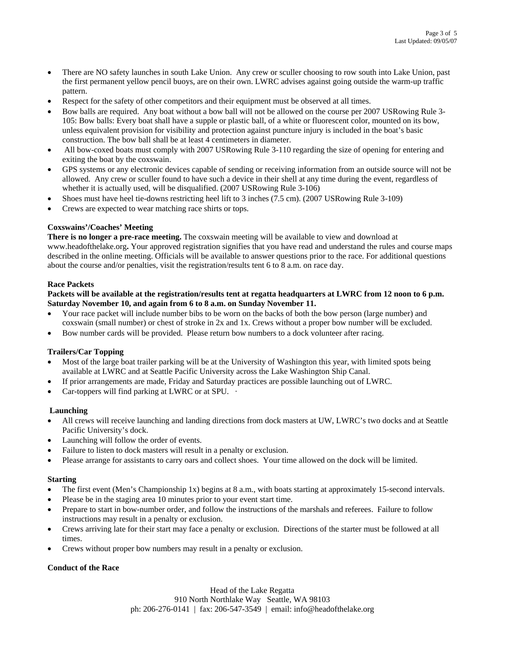- There are NO safety launches in south Lake Union. Any crew or sculler choosing to row south into Lake Union, past the first permanent yellow pencil buoys, are on their own. LWRC advises against going outside the warm-up traffic pattern.
- Respect for the safety of other competitors and their equipment must be observed at all times.
- Bow balls are required. Any boat without a bow ball will not be allowed on the course per 2007 USRowing Rule 3- 105: Bow balls: Every boat shall have a supple or plastic ball, of a white or fluorescent color, mounted on its bow, unless equivalent provision for visibility and protection against puncture injury is included in the boat's basic construction. The bow ball shall be at least 4 centimeters in diameter.
- All bow-coxed boats must comply with 2007 USRowing Rule 3-110 regarding the size of opening for entering and exiting the boat by the coxswain.
- GPS systems or any electronic devices capable of sending or receiving information from an outside source will not be allowed. Any crew or sculler found to have such a device in their shell at any time during the event, regardless of whether it is actually used, will be disqualified. (2007 USRowing Rule 3-106)
- Shoes must have heel tie-downs restricting heel lift to 3 inches (7.5 cm). (2007 USRowing Rule 3-109)
- Crews are expected to wear matching race shirts or tops.

#### **Coxswains'/Coaches' Meeting**

**There is no longer a pre-race meeting.** The coxswain meeting will be available to view and download at www.headofthelake.org**.** Your approved registration signifies that you have read and understand the rules and course maps described in the online meeting. Officials will be available to answer questions prior to the race. For additional questions about the course and/or penalties, visit the registration/results tent 6 to 8 a.m. on race day.

#### **Race Packets**

#### **Packets will be available at the registration/results tent at regatta headquarters at LWRC from 12 noon to 6 p.m. Saturday November 10, and again from 6 to 8 a.m. on Sunday November 11.**

- Your race packet will include number bibs to be worn on the backs of both the bow person (large number) and coxswain (small number) or chest of stroke in 2x and 1x. Crews without a proper bow number will be excluded.
- Bow number cards will be provided. Please return bow numbers to a dock volunteer after racing.

#### **Trailers/Car Topping**

- Most of the large boat trailer parking will be at the University of Washington this year, with limited spots being available at LWRC and at Seattle Pacific University across the Lake Washington Ship Canal.
- If prior arrangements are made, Friday and Saturday practices are possible launching out of LWRC.
- Car-toppers will find parking at LWRC or at SPU. ·

#### **Launching**

- All crews will receive launching and landing directions from dock masters at UW, LWRC's two docks and at Seattle Pacific University's dock.
- Launching will follow the order of events.
- Failure to listen to dock masters will result in a penalty or exclusion.
- Please arrange for assistants to carry oars and collect shoes. Your time allowed on the dock will be limited.

#### **Starting**

- The first event (Men's Championship 1x) begins at 8 a.m., with boats starting at approximately 15-second intervals.
- Please be in the staging area 10 minutes prior to your event start time.
- Prepare to start in bow-number order, and follow the instructions of the marshals and referees. Failure to follow instructions may result in a penalty or exclusion.
- Crews arriving late for their start may face a penalty or exclusion. Directions of the starter must be followed at all times.
- Crews without proper bow numbers may result in a penalty or exclusion.

#### **Conduct of the Race**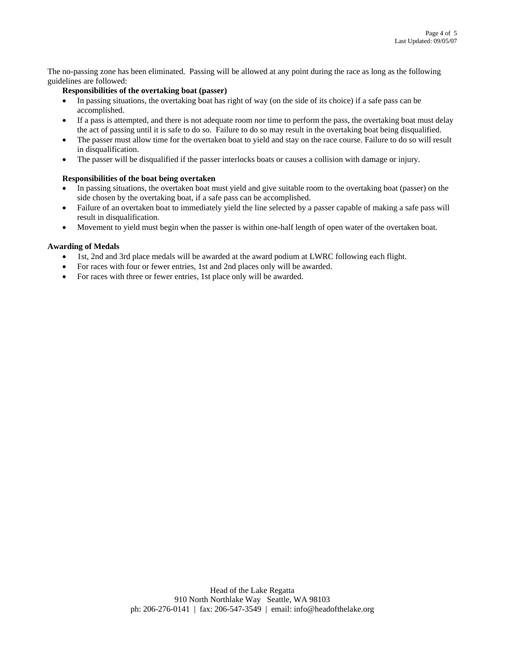The no-passing zone has been eliminated. Passing will be allowed at any point during the race as long as the following guidelines are followed:

#### **Responsibilities of the overtaking boat (passer)**

- In passing situations, the overtaking boat has right of way (on the side of its choice) if a safe pass can be accomplished.
- If a pass is attempted, and there is not adequate room nor time to perform the pass, the overtaking boat must delay the act of passing until it is safe to do so. Failure to do so may result in the overtaking boat being disqualified.
- The passer must allow time for the overtaken boat to yield and stay on the race course. Failure to do so will result in disqualification.
- The passer will be disqualified if the passer interlocks boats or causes a collision with damage or injury.

#### **Responsibilities of the boat being overtaken**

- In passing situations, the overtaken boat must yield and give suitable room to the overtaking boat (passer) on the side chosen by the overtaking boat, if a safe pass can be accomplished.
- Failure of an overtaken boat to immediately yield the line selected by a passer capable of making a safe pass will result in disqualification.
- Movement to yield must begin when the passer is within one-half length of open water of the overtaken boat.

#### **Awarding of Medals**

- 1st, 2nd and 3rd place medals will be awarded at the award podium at LWRC following each flight.
- For races with four or fewer entries, 1st and 2nd places only will be awarded.
- For races with three or fewer entries, 1st place only will be awarded.